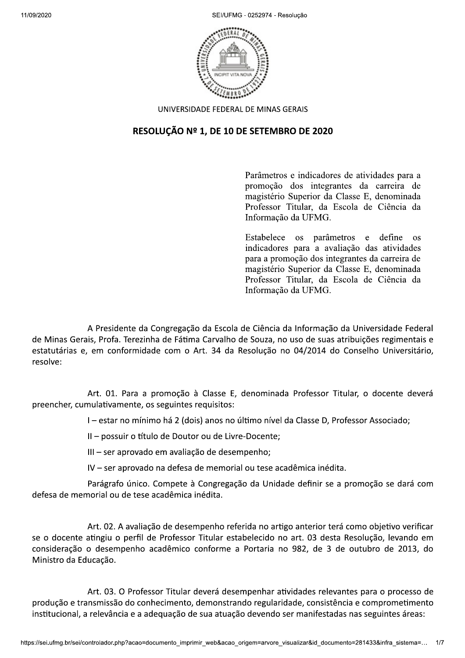SEI/UFMG - 0252974 - Resolução



UNIVERSIDADE FEDERAL DE MINAS GERAIS

## RESOLUÇÃO Nº 1, DE 10 DE SETEMBRO DE 2020

Parâmetros e indicadores de atividades para a promoção dos integrantes da carreira de magistério Superior da Classe E, denominada Professor Titular, da Escola de Ciência da Informação da UFMG.

Estabelece os parâmetros e define  $OS$ indicadores para a avaliação das atividades para a promoção dos integrantes da carreira de magistério Superior da Classe E, denominada Professor Titular, da Escola de Ciência da Informação da UFMG.

A Presidente da Congregação da Escola de Ciência da Informação da Universidade Federal de Minas Gerais, Profa. Terezinha de Fátima Carvalho de Souza, no uso de suas atribuições regimentais e estatutárias e, em conformidade com o Art. 34 da Resolução no 04/2014 do Conselho Universitário, resolve:

Art. 01. Para a promoção à Classe E, denominada Professor Titular, o docente deverá preencher, cumulativamente, os seguintes requisitos:

I - estar no mínimo há 2 (dois) anos no último nível da Classe D, Professor Associado;

Il - possuir o título de Doutor ou de Livre-Docente;

III - ser aprovado em avaliação de desempenho;

IV - ser aprovado na defesa de memorial ou tese acadêmica inédita.

Parágrafo único. Compete à Congregação da Unidade definir se a promoção se dará com defesa de memorial ou de tese acadêmica inédita.

Art. 02. A avaliação de desempenho referida no artigo anterior terá como objetivo verificar se o docente atingiu o perfil de Professor Titular estabelecido no art. 03 desta Resolução, levando em consideração o desempenho acadêmico conforme a Portaria no 982, de 3 de outubro de 2013, do Ministro da Educação.

Art. 03. O Professor Titular deverá desempenhar atividades relevantes para o processo de produção e transmissão do conhecimento, demonstrando regularidade, consistência e comprometimento institucional, a relevância e a adequação de sua atuação devendo ser manifestadas nas seguintes áreas: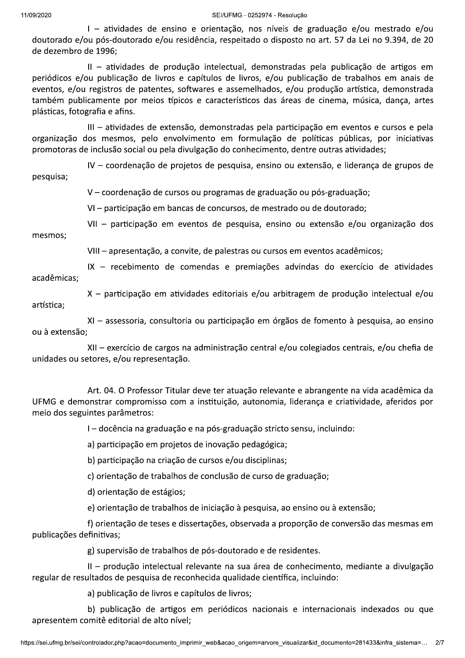## SEI/UFMG - 0252974 - Resolução

I - atividades de ensino e orientação, nos níveis de graduação e/ou mestrado e/ou doutorado e/ou pós-doutorado e/ou residência, respeitado o disposto no art. 57 da Lei no 9.394, de 20 de dezembro de 1996:

II - atividades de produção intelectual, demonstradas pela publicação de artigos em periódicos e/ou publicação de livros e capítulos de livros, e/ou publicação de trabalhos em anais de eventos, e/ou registros de patentes, softwares e assemelhados, e/ou produção artística, demonstrada também publicamente por meios típicos e característicos das áreas de cinema, música, dança, artes plásticas, fotografia e afins.

III - atividades de extensão, demonstradas pela participação em eventos e cursos e pela organização dos mesmos, pelo envolvimento em formulação de políticas públicas, por iniciativas promotoras de inclusão social ou pela divulgação do conhecimento, dentre outras atividades;

IV - coordenação de projetos de pesquisa, ensino ou extensão, e liderança de grupos de pesquisa;

V - coordenação de cursos ou programas de graduação ou pós-graduação;

VI - participação em bancas de concursos, de mestrado ou de doutorado;

VII - participação em eventos de pesquisa, ensino ou extensão e/ou organização dos mesmos:

VIII - apresentação, a convite, de palestras ou cursos em eventos acadêmicos;

IX - recebimento de comendas e premiações advindas do exercício de atividades acadêmicas;

X - participação em atividades editoriais e/ou arbitragem de produção intelectual e/ou artística:

XI - assessoria, consultoria ou participação em órgãos de fomento à pesquisa, ao ensino ou à extensão;

XII - exercício de cargos na administração central e/ou colegiados centrais, e/ou chefia de unidades ou setores, e/ou representação.

Art. 04. O Professor Titular deve ter atuação relevante e abrangente na vida acadêmica da UFMG e demonstrar compromisso com a instituição, autonomia, liderança e criatividade, aferidos por meio dos seguintes parâmetros:

I - docência na graduação e na pós-graduação stricto sensu, incluindo:

a) participação em projetos de inovação pedagógica;

b) participação na criação de cursos e/ou disciplinas;

c) orientação de trabalhos de conclusão de curso de graduação;

d) orientação de estágios;

e) orientação de trabalhos de iniciação à pesquisa, ao ensino ou à extensão;

f) orientação de teses e dissertações, observada a proporção de conversão das mesmas em publicações definitivas;

g) supervisão de trabalhos de pós-doutorado e de residentes.

II - produção intelectual relevante na sua área de conhecimento, mediante a divulgação regular de resultados de pesquisa de reconhecida qualidade científica, incluindo:

a) publicação de livros e capítulos de livros;

b) publicação de artigos em periódicos nacionais e internacionais indexados ou que apresentem comitê editorial de alto nível;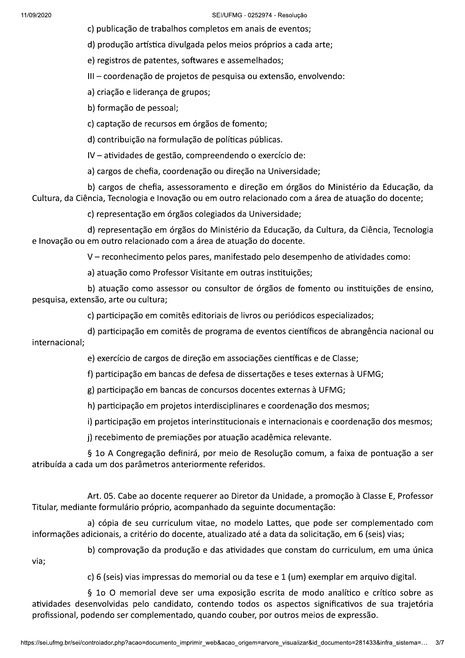SEI/UFMG - 0252974 - Resolução

c) publicação de trabalhos completos em anais de eventos;

d) produção artística divulgada pelos meios próprios a cada arte;

e) registros de patentes, softwares e assemelhados;

III - coordenação de projetos de pesquisa ou extensão, envolvendo:

a) criação e liderança de grupos;

b) formação de pessoal;

c) captação de recursos em órgãos de fomento;

d) contribuição na formulação de políticas públicas.

IV - atividades de gestão, compreendendo o exercício de:

a) cargos de chefia, coordenação ou direção na Universidade;

b) cargos de chefia, assessoramento e direção em órgãos do Ministério da Educação, da Cultura, da Ciência, Tecnologia e Inovação ou em outro relacionado com a área de atuação do docente;

c) representação em órgãos colegiados da Universidade;

d) representação em órgãos do Ministério da Educação, da Cultura, da Ciência, Tecnologia e Inovação ou em outro relacionado com a área de atuação do docente.

V – reconhecimento pelos pares, manifestado pelo desempenho de atividades como:

a) atuação como Professor Visitante em outras instituições;

b) atuação como assessor ou consultor de órgãos de fomento ou instituições de ensino, pesquisa, extensão, arte ou cultura;

c) participação em comitês editoriais de livros ou periódicos especializados;

d) participação em comitês de programa de eventos científicos de abrangência nacional ou internacional:

e) exercício de cargos de direção em associações científicas e de Classe;

f) participação em bancas de defesa de dissertações e teses externas à UFMG;

g) participação em banças de concursos docentes externas à UFMG;

h) participação em projetos interdisciplinares e coordenação dos mesmos;

i) participação em projetos interinstitucionais e internacionais e coordenação dos mesmos;

j) recebimento de premiações por atuação acadêmica relevante.

§ 10 A Congregação definirá, por meio de Resolução comum, a faixa de pontuação a ser atribuída a cada um dos parâmetros anteriormente referidos.

Art. 05. Cabe ao docente requerer ao Diretor da Unidade, a promoção à Classe E, Professor Titular, mediante formulário próprio, acompanhado da seguinte documentação:

a) cópia de seu curriculum vitae, no modelo Lattes, que pode ser complementado com informações adicionais, a critério do docente, atualizado até a data da solicitação, em 6 (seis) vias;

via:

b) comprovação da produção e das atividades que constam do curriculum, em uma única

c) 6 (seis) vias impressas do memorial ou da tese e 1 (um) exemplar em arquivo digital.

§ 10 O memorial deve ser uma exposição escrita de modo analítico e crítico sobre as atividades desenvolvidas pelo candidato, contendo todos os aspectos significativos de sua trajetória profissional, podendo ser complementado, quando couber, por outros meios de expressão.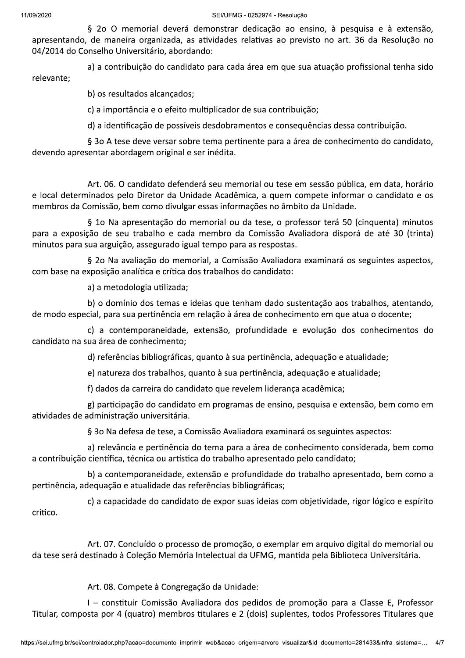SEI/UFMG - 0252974 - Resolucão

§ 20 O memorial deverá demonstrar dedicação ao ensino, à pesquisa e à extensão, apresentando, de maneira organizada, as atividades relativas ao previsto no art. 36 da Resolução no 04/2014 do Conselho Universitário, abordando:

a) a contribuição do candidato para cada área em que sua atuação profissional tenha sido relevante;

b) os resultados alcançados;

c) a importância e o efeito multiplicador de sua contribuição;

d) a identificação de possíveis desdobramentos e consequências dessa contribuição.

§ 30 A tese deve versar sobre tema pertinente para a área de conhecimento do candidato, devendo apresentar abordagem original e ser inédita.

Art. 06. O candidato defenderá seu memorial ou tese em sessão pública, em data, horário e local determinados pelo Diretor da Unidade Acadêmica, a quem compete informar o candidato e os membros da Comissão, bem como divulgar essas informações no âmbito da Unidade.

§ 10 Na apresentação do memorial ou da tese, o professor terá 50 (cinquenta) minutos para a exposição de seu trabalho e cada membro da Comissão Avaliadora disporá de até 30 (trinta) minutos para sua arguição, assegurado igual tempo para as respostas.

§ 20 Na avaliação do memorial, a Comissão Avaliadora examinará os seguintes aspectos, com base na exposição analítica e crítica dos trabalhos do candidato:

a) a metodologia utilizada:

b) o domínio dos temas e ideias que tenham dado sustentação aos trabalhos, atentando, de modo especial, para sua pertinência em relação à área de conhecimento em que atua o docente;

c) a contemporaneidade, extensão, profundidade e evolução dos conhecimentos do candidato na sua área de conhecimento;

d) referências bibliográficas, quanto à sua pertinência, adequação e atualidade;

e) natureza dos trabalhos, quanto à sua pertinência, adequação e atualidade;

f) dados da carreira do candidato que revelem liderança acadêmica;

g) participação do candidato em programas de ensino, pesquisa e extensão, bem como em atividades de administração universitária.

§ 30 Na defesa de tese, a Comissão Avaliadora examinará os seguintes aspectos:

a) relevância e pertinência do tema para a área de conhecimento considerada, bem como a contribuição científica, técnica ou artística do trabalho apresentado pelo candidato;

b) a contemporaneidade, extensão e profundidade do trabalho apresentado, bem como a pertinência, adequação e atualidade das referências bibliográficas;

c) a capacidade do candidato de expor suas ideias com objetividade, rigor lógico e espírito crítico.

Art. 07. Concluído o processo de promoção, o exemplar em arquivo digital do memorial ou da tese será destinado à Coleção Memória Intelectual da UFMG, mantida pela Biblioteca Universitária.

Art. 08. Compete à Congregação da Unidade:

I - constituir Comissão Avaliadora dos pedidos de promoção para a Classe E, Professor Titular, composta por 4 (quatro) membros titulares e 2 (dois) suplentes, todos Professores Titulares que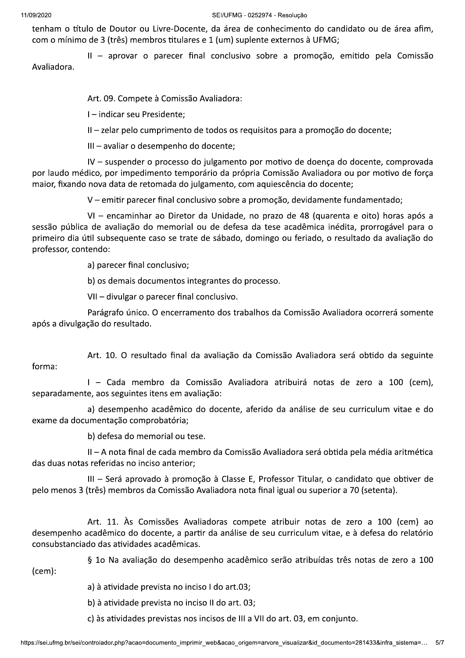SEI/UFMG - 0252974 - Resolucão

tenham o título de Doutor ou Livre-Docente, da área de conhecimento do candidato ou de área afim, com o mínimo de 3 (três) membros titulares e 1 (um) suplente externos à UFMG;

II - aprovar o parecer final conclusivo sobre a promoção, emitido pela Comissão Avaliadora.

Art. 09. Compete à Comissão Avaliadora:

I-indicar seu Presidente;

II – zelar pelo cumprimento de todos os requisitos para a promoção do docente;

III - avaliar o desempenho do docente;

IV – suspender o processo do julgamento por motivo de doenca do docente, comprovada por laudo médico, por impedimento temporário da própria Comissão Avaliadora ou por motivo de força maior, fixando nova data de retomada do julgamento, com aquiescência do docente;

V – emitir parecer final conclusivo sobre a promoção, devidamente fundamentado;

VI - encaminhar ao Diretor da Unidade, no prazo de 48 (quarenta e oito) horas após a sessão pública de avaliação do memorial ou de defesa da tese acadêmica inédita, prorrogável para o primeiro dia útil subsequente caso se trate de sábado, domingo ou feriado, o resultado da avaliação do professor, contendo:

a) parecer final conclusivo;

b) os demais documentos integrantes do processo.

VII - divulgar o parecer final conclusivo.

Parágrafo único. O encerramento dos trabalhos da Comissão Avaliadora ocorrerá somente após a divulgação do resultado.

Art. 10. O resultado final da avaliação da Comissão Avaliadora será obtido da seguinte forma:

I - Cada membro da Comissão Avaliadora atribuirá notas de zero a 100 (cem), separadamente, aos seguintes itens em avaliação:

a) desempenho acadêmico do docente, aferido da análise de seu curriculum vitae e do exame da documentação comprobatória;

b) defesa do memorial ou tese.

II – A nota final de cada membro da Comissão Avaliadora será obtida pela média aritmética das duas notas referidas no inciso anterior:

III - Será aprovado à promoção à Classe E, Professor Titular, o candidato que obtiver de pelo menos 3 (três) membros da Comissão Avaliadora nota final igual ou superior a 70 (setenta).

Art. 11. Às Comissões Avaliadoras compete atribuir notas de zero a 100 (cem) ao desempenho acadêmico do docente, a partir da análise de seu curriculum vitae, e à defesa do relatório consubstanciado das atividades acadêmicas.

§ 10 Na avaliação do desempenho acadêmico serão atribuídas três notas de zero a 100

 $(cem):$ 

a) à atividade prevista no inciso I do art.03;

b) à atividade prevista no inciso II do art. 03;

c) às atividades previstas nos incisos de III a VII do art. 03, em conjunto.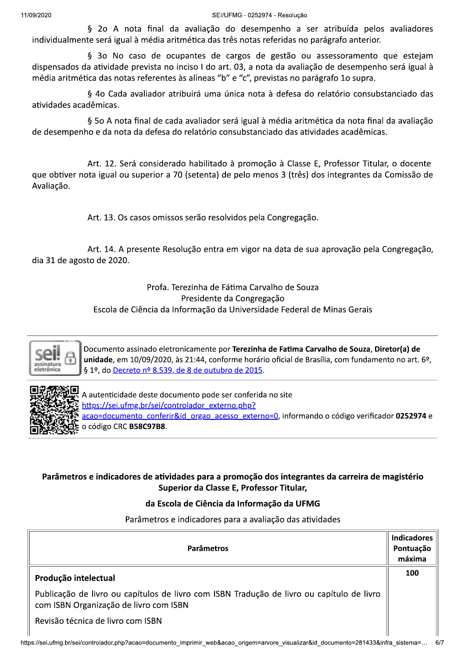§ 20 A nota final da avaliação do desempenho a ser atribuída pelos avaliadores individualmente será igual à média aritmética das três notas referidas no parágrafo anterior.

§ 30 No caso de ocupantes de cargos de gestão ou assessoramento que estejam dispensados da atividade prevista no inciso I do art. 03, a nota da avaliação de desempenho será igual à média aritmética das notas referentes às alíneas "b" e "c", previstas no parágrafo 1o supra.

§ 4o Cada avaliador atribuirá uma única nota à defesa do relatório consubstanciado das atividades acadêmicas.

§ 50 A nota final de cada avaliador será igual à média aritmética da nota final da avaliação de desempenho e da nota da defesa do relatório consubstanciado das atividades acadêmicas.

Art. 12. Será considerado habilitado à promoção à Classe E, Professor Titular, o docente que obtiver nota igual ou superior a 70 (setenta) de pelo menos 3 (três) dos integrantes da Comissão de Avaliação.

Art. 13. Os casos omissos serão resolvidos pela Congregação.

Art. 14. A presente Resolução entra em vigor na data de sua aprovação pela Congregação, dia 31 de agosto de 2020.

> Profa. Terezinha de Fátima Carvalho de Souza Presidente da Congregação Escola de Ciência da Informação da Universidade Federal de Minas Gerais



Documento assinado eletronicamente por Terezinha de Fatima Carvalho de Souza, Diretor(a) de unidade, em 10/09/2020, às 21:44, conforme horário oficial de Brasília, com fundamento no art. 6º, § 1º, do Decreto nº 8.539, de 8 de outubro de 2015.



A autenticidade deste documento pode ser conferida no site https://sei.ufmg.br/sei/controlador externo.php? acao=documento conferir&id orgao acesso externo=0, informando o código verificador 0252974 e o código CRC B58C97B8.

## Parâmetros e indicadores de atividades para a promoção dos integrantes da carreira de magistério Superior da Classe E, Professor Titular,

## da Escola de Ciência da Informação da UFMG

Parâmetros e indicadores para a avaliação das atividades

| <b>Parâmetros</b>                                                                                                                   | <b>Indicadores</b><br>Pontuação<br>máxima |
|-------------------------------------------------------------------------------------------------------------------------------------|-------------------------------------------|
| Produção intelectual                                                                                                                | 100                                       |
| Publicação de livro ou capítulos de livro com ISBN Tradução de livro ou capítulo de livro<br>com ISBN Organização de livro com ISBN |                                           |
| Revisão técnica de livro com ISBN                                                                                                   |                                           |